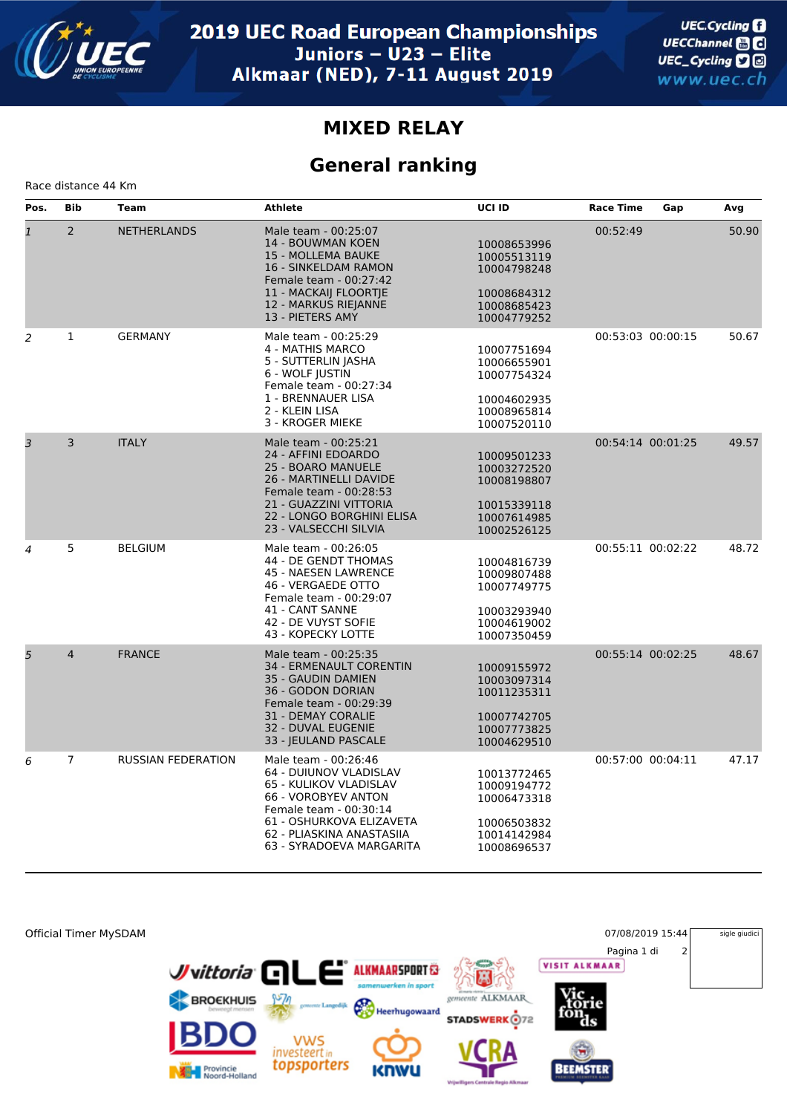

## **MIXED RELAY**

## **General ranking**

Race distance 44 Km

| Pos.           | <b>Bib</b>     | Team                      | <b>Athlete</b>                                                                                                                                                                                                 | <b>UCI ID</b>                                                                          | <b>Race Time</b>  | Gap | Avg   |
|----------------|----------------|---------------------------|----------------------------------------------------------------------------------------------------------------------------------------------------------------------------------------------------------------|----------------------------------------------------------------------------------------|-------------------|-----|-------|
| $\overline{1}$ | $\overline{2}$ | <b>NETHERLANDS</b>        | Male team - 00:25:07<br><b>14 - BOUWMAN KOEN</b><br>15 - MOLLEMA BAUKE<br><b>16 - SINKELDAM RAMON</b><br>Female team - 00:27:42<br>11 - MACKAIJ FLOORTJE<br>12 - MARKUS RIEJANNE<br>13 - PIETERS AMY           | 10008653996<br>10005513119<br>10004798248<br>10008684312<br>10008685423<br>10004779252 | 00:52:49          |     | 50.90 |
| 2              | $\mathbf 1$    | <b>GERMANY</b>            | Male team - 00:25:29<br>4 - MATHIS MARCO<br>5 - SUTTERLIN JASHA<br>6 - WOLF JUSTIN<br>Female team - 00:27:34<br>1 - BRENNAUER LISA<br>2 - KLEIN LISA<br>3 - KROGER MIEKE                                       | 10007751694<br>10006655901<br>10007754324<br>10004602935<br>10008965814<br>10007520110 | 00:53:03 00:00:15 |     | 50.67 |
| 3              | $\overline{3}$ | <b>ITALY</b>              | Male team - 00:25:21<br>24 - AFFINI EDOARDO<br><b>25 - BOARO MANUELE</b><br>26 - MARTINELLI DAVIDE<br>Female team - 00:28:53<br>21 - GUAZZINI VITTORIA<br>22 - LONGO BORGHINI ELISA<br>23 - VALSECCHI SILVIA   | 10009501233<br>10003272520<br>10008198807<br>10015339118<br>10007614985<br>10002526125 | 00:54:14 00:01:25 |     | 49.57 |
| $\overline{4}$ | 5              | <b>BELGIUM</b>            | Male team - 00:26:05<br>44 - DE GENDT THOMAS<br>45 - NAESEN LAWRENCE<br>46 - VERGAEDE OTTO<br>Female team - 00:29:07<br>41 - CANT SANNE<br>42 - DE VUYST SOFIE<br>43 - KOPECKY LOTTE                           | 10004816739<br>10009807488<br>10007749775<br>10003293940<br>10004619002<br>10007350459 | 00:55:11 00:02:22 |     | 48.72 |
| 5              | $\overline{4}$ | <b>FRANCE</b>             | Male team - 00:25:35<br><b>34 - ERMENAULT CORENTIN</b><br>35 - GAUDIN DAMIEN<br>36 - GODON DORIAN<br>Female team - 00:29:39<br><b>31 - DEMAY CORALIE</b><br>32 - DUVAL EUGENIE<br>33 - JEULAND PASCALE         | 10009155972<br>10003097314<br>10011235311<br>10007742705<br>10007773825<br>10004629510 | 00:55:14 00:02:25 |     | 48.67 |
| 6              | $\overline{7}$ | <b>RUSSIAN FEDERATION</b> | Male team - 00:26:46<br>64 - DUIUNOV VLADISLAV<br>65 - KULIKOV VLADISLAV<br>66 - VOROBYEV ANTON<br>Female team - 00:30:14<br>61 - OSHURKOVA ELIZAVETA<br>62 - PLIASKINA ANASTASIIA<br>63 - SYRADOEVA MARGARITA | 10013772465<br>10009194772<br>10006473318<br>10006503832<br>10014142984<br>10008696537 | 00:57:00 00:04:11 |     | 47.17 |